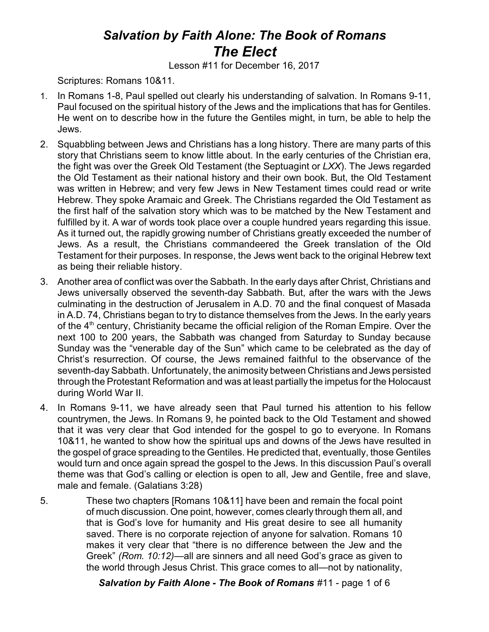## *Salvation by Faith Alone: The Book of Romans The Elect*

Lesson #11 for December 16, 2017

Scriptures: Romans 10&11.

- 1. In Romans 1-8, Paul spelled out clearly his understanding of salvation. In Romans 9-11, Paul focused on the spiritual history of the Jews and the implications that has for Gentiles. He went on to describe how in the future the Gentiles might, in turn, be able to help the Jews.
- 2. Squabbling between Jews and Christians has a long history. There are many parts of this story that Christians seem to know little about. In the early centuries of the Christian era, the fight was over the Greek Old Testament (the Septuagint or *LXX*). The Jews regarded the Old Testament as their national history and their own book. But, the Old Testament was written in Hebrew; and very few Jews in New Testament times could read or write Hebrew. They spoke Aramaic and Greek. The Christians regarded the Old Testament as the first half of the salvation story which was to be matched by the New Testament and fulfilled by it. A war of words took place over a couple hundred years regarding this issue. As it turned out, the rapidly growing number of Christians greatly exceeded the number of Jews. As a result, the Christians commandeered the Greek translation of the Old Testament for their purposes. In response, the Jews went back to the original Hebrew text as being their reliable history.
- 3. Another area of conflict was over the Sabbath. In the early days after Christ, Christians and Jews universally observed the seventh-day Sabbath. But, after the wars with the Jews culminating in the destruction of Jerusalem in A.D. 70 and the final conquest of Masada in A.D. 74, Christians began to try to distance themselves from the Jews. In the early years of the 4<sup>th</sup> century, Christianity became the official religion of the Roman Empire. Over the next 100 to 200 years, the Sabbath was changed from Saturday to Sunday because Sunday was the "venerable day of the Sun" which came to be celebrated as the day of Christ's resurrection. Of course, the Jews remained faithful to the observance of the seventh-day Sabbath. Unfortunately, the animosity between Christians and Jews persisted through the Protestant Reformation and was at least partially the impetus for the Holocaust during World War II.
- 4. In Romans 9-11, we have already seen that Paul turned his attention to his fellow countrymen, the Jews. In Romans 9, he pointed back to the Old Testament and showed that it was very clear that God intended for the gospel to go to everyone. In Romans 10&11, he wanted to show how the spiritual ups and downs of the Jews have resulted in the gospel of grace spreading to the Gentiles. He predicted that, eventually, those Gentiles would turn and once again spread the gospel to the Jews. In this discussion Paul's overall theme was that God's calling or election is open to all, Jew and Gentile, free and slave, male and female. (Galatians 3:28)
- 5. These two chapters [Romans 10&11] have been and remain the focal point of much discussion. One point, however, comes clearly through them all, and that is God's love for humanity and His great desire to see all humanity saved. There is no corporate rejection of anyone for salvation. Romans 10 makes it very clear that "there is no difference between the Jew and the Greek" *(Rom. 10:12)*—all are sinners and all need God's grace as given to the world through Jesus Christ. This grace comes to all—not by nationality,

*Salvation by Faith Alone - The Book of Romans* #11 - page 1 of 6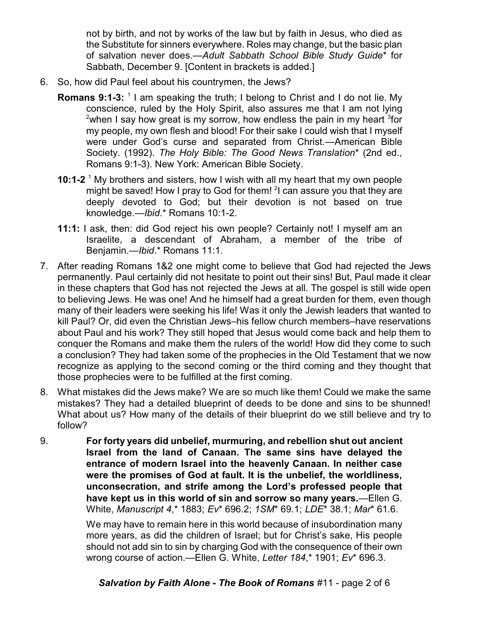not by birth, and not by works of the law but by faith in Jesus, who died as the Substitute for sinners everywhere. Roles may change, but the basic plan of salvation never does.—*Adult Sabbath School Bible Study Guide*\* for Sabbath, December 9. [Content in brackets is added.]

- 6. So, how did Paul feel about his countrymen, the Jews?
	- **Romans 9:1-3:** <sup>1</sup> I am speaking the truth; I belong to Christ and I do not lie. My conscience, ruled by the Holy Spirit, also assures me that I am not lying  $^{2}$ when I say how great is my sorrow, how endless the pain in my heart  $^{3}$ for my people, my own flesh and blood! For their sake I could wish that I myself were under God's curse and separated from Christ.—American Bible Society. (1992). *The Holy Bible: The Good News Translation*\* (2nd ed., Romans 9:1-3). New York: American Bible Society.
	- **10:1-2** <sup>1</sup> My brothers and sisters, how I wish with all my heart that my own people might be saved! How I pray to God for them! <sup>2</sup>I can assure you that they are deeply devoted to God; but their devotion is not based on true knowledge.—*Ibid*.\* Romans 10:1-2.
	- **11:1:** I ask, then: did God reject his own people? Certainly not! I myself am an Israelite, a descendant of Abraham, a member of the tribe of Benjamin.—*Ibid*.\* Romans 11:1.
- 7. After reading Romans 1&2 one might come to believe that God had rejected the Jews permanently. Paul certainly did not hesitate to point out their sins! But, Paul made it clear in these chapters that God has not rejected the Jews at all. The gospel is still wide open to believing Jews. He was one! And he himself had a great burden for them, even though many of their leaders were seeking his life! Was it only the Jewish leaders that wanted to kill Paul? Or, did even the Christian Jews–his fellow church members–have reservations about Paul and his work? They still hoped that Jesus would come back and help them to conquer the Romans and make them the rulers of the world! How did they come to such a conclusion? They had taken some of the prophecies in the Old Testament that we now recognize as applying to the second coming or the third coming and they thought that those prophecies were to be fulfilled at the first coming.
- 8. What mistakes did the Jews make? We are so much like them! Could we make the same mistakes? They had a detailed blueprint of deeds to be done and sins to be shunned! What about us? How many of the details of their blueprint do we still believe and try to follow?
- 9. **For forty years did unbelief, murmuring, and rebellion shut out ancient Israel from the land of Canaan. The same sins have delayed the entrance of modern Israel into the heavenly Canaan. In neither case were the promises of God at fault. It is the unbelief, the worldliness, unconsecration, and strife among the Lord's professed people that have kept us in this world of sin and sorrow so many years.**—Ellen G. White, *Manuscript 4*,\* 1883; *Ev*\* 696.2; *1SM*\* 69.1; *LDE*\* 38.1; *Mar*\* 61.6.

We may have to remain here in this world because of insubordination many more years, as did the children of Israel; but for Christ's sake, His people should not add sin to sin by charging God with the consequence of their own wrong course of action.—Ellen G. White, *Letter 184*,\* 1901; *Ev*\* 696.3.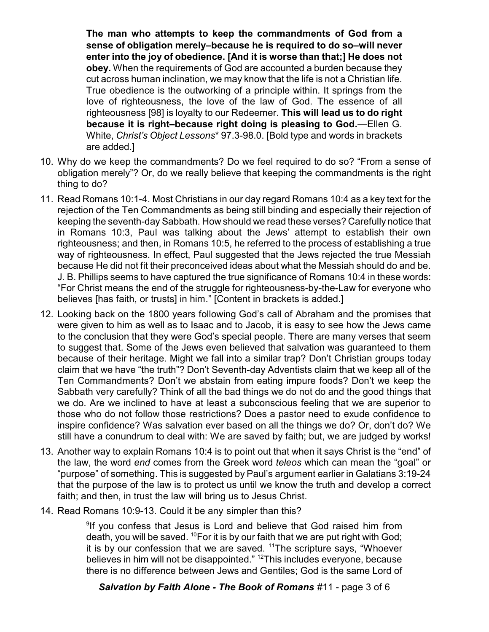**The man who attempts to keep the commandments of God from a sense of obligation merely–because he is required to do so–will never enter into the joy of obedience. [And it is worse than that;] He does not obey.** When the requirements of God are accounted a burden because they cut across human inclination, we may know that the life is not a Christian life. True obedience is the outworking of a principle within. It springs from the love of righteousness, the love of the law of God. The essence of all righteousness [98] is loyalty to our Redeemer. **This will lead us to do right because it is right–because right doing is pleasing to God.**—Ellen G. White, *Christ's Object Lessons*\* 97.3-98.0. [Bold type and words in brackets are added.]

- 10. Why do we keep the commandments? Do we feel required to do so? "From a sense of obligation merely"? Or, do we really believe that keeping the commandments is the right thing to do?
- 11. Read Romans 10:1-4. Most Christians in our day regard Romans 10:4 as a key text for the rejection of the Ten Commandments as being still binding and especially their rejection of keeping the seventh-day Sabbath. How should we read these verses? Carefully notice that in Romans 10:3, Paul was talking about the Jews' attempt to establish their own righteousness; and then, in Romans 10:5, he referred to the process of establishing a true way of righteousness. In effect, Paul suggested that the Jews rejected the true Messiah because He did not fit their preconceived ideas about what the Messiah should do and be. J. B. Phillips seems to have captured the true significance of Romans 10:4 in these words: "For Christ means the end of the struggle for righteousness-by-the-Law for everyone who believes [has faith, or trusts] in him." [Content in brackets is added.]
- 12. Looking back on the 1800 years following God's call of Abraham and the promises that were given to him as well as to Isaac and to Jacob, it is easy to see how the Jews came to the conclusion that they were God's special people. There are many verses that seem to suggest that. Some of the Jews even believed that salvation was guaranteed to them because of their heritage. Might we fall into a similar trap? Don't Christian groups today claim that we have "the truth"? Don't Seventh-day Adventists claim that we keep all of the Ten Commandments? Don't we abstain from eating impure foods? Don't we keep the Sabbath very carefully? Think of all the bad things we do not do and the good things that we do. Are we inclined to have at least a subconscious feeling that we are superior to those who do not follow those restrictions? Does a pastor need to exude confidence to inspire confidence? Was salvation ever based on all the things we do? Or, don't do? We still have a conundrum to deal with: We are saved by faith; but, we are judged by works!
- 13. Another way to explain Romans 10:4 is to point out that when it says Christ is the "end" of the law, the word *end* comes from the Greek word *teleos* which can mean the "goal" or "purpose" of something. This is suggested by Paul's argument earlier in Galatians 3:19-24 that the purpose of the law is to protect us until we know the truth and develop a correct faith; and then, in trust the law will bring us to Jesus Christ.
- 14. Read Romans 10:9-13. Could it be any simpler than this?

<sup>9</sup>If you confess that Jesus is Lord and believe that God raised him from death, you will be saved.  $^{10}$  For it is by our faith that we are put right with God; it is by our confession that we are saved. <sup>11</sup>The scripture says, "Whoever believes in him will not be disappointed." <sup>12</sup>This includes everyone, because there is no difference between Jews and Gentiles; God is the same Lord of

*Salvation by Faith Alone - The Book of Romans* #11 - page 3 of 6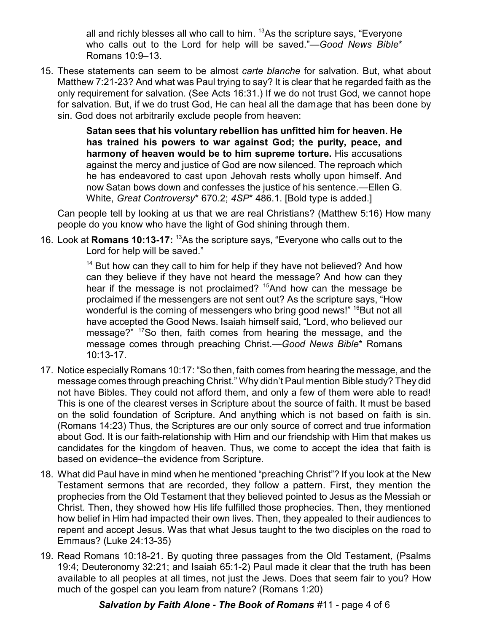all and richly blesses all who call to him. <sup>13</sup>As the scripture says, "Everyone who calls out to the Lord for help will be saved."—*Good News Bible*\* Romans 10:9–13.

15. These statements can seem to be almost *carte blanche* for salvation. But, what about Matthew 7:21-23? And what was Paul trying to say? It is clear that he regarded faith as the only requirement for salvation. (See Acts 16:31.) If we do not trust God, we cannot hope for salvation. But, if we do trust God, He can heal all the damage that has been done by sin. God does not arbitrarily exclude people from heaven:

> **Satan sees that his voluntary rebellion has unfitted him for heaven. He has trained his powers to war against God; the purity, peace, and harmony of heaven would be to him supreme torture.** His accusations against the mercy and justice of God are now silenced. The reproach which he has endeavored to cast upon Jehovah rests wholly upon himself. And now Satan bows down and confesses the justice of his sentence.—Ellen G. White, *Great Controversy*\* 670.2; *4SP*\* 486.1. [Bold type is added.]

Can people tell by looking at us that we are real Christians? (Matthew 5:16) How many people do you know who have the light of God shining through them.

16. Look at **Romans 10:13-17:** <sup>13</sup>As the scripture says, "Everyone who calls out to the Lord for help will be saved."

> <sup>14</sup> But how can they call to him for help if they have not believed? And how can they believe if they have not heard the message? And how can they hear if the message is not proclaimed?  $15$ And how can the message be proclaimed if the messengers are not sent out? As the scripture says, "How wonderful is the coming of messengers who bring good news!" <sup>16</sup>But not all have accepted the Good News. Isaiah himself said, "Lord, who believed our message?" <sup>17</sup>So then, faith comes from hearing the message, and the message comes through preaching Christ.—*Good News Bible*\* Romans 10:13-17.

- 17. Notice especially Romans 10:17: "So then, faith comes from hearing the message, and the message comes through preaching Christ." Why didn't Paul mention Bible study? They did not have Bibles. They could not afford them, and only a few of them were able to read! This is one of the clearest verses in Scripture about the source of faith. It must be based on the solid foundation of Scripture. And anything which is not based on faith is sin. (Romans 14:23) Thus, the Scriptures are our only source of correct and true information about God. It is our faith-relationship with Him and our friendship with Him that makes us candidates for the kingdom of heaven. Thus, we come to accept the idea that faith is based on evidence–the evidence from Scripture.
- 18. What did Paul have in mind when he mentioned "preaching Christ"? If you look at the New Testament sermons that are recorded, they follow a pattern. First, they mention the prophecies from the Old Testament that they believed pointed to Jesus as the Messiah or Christ. Then, they showed how His life fulfilled those prophecies. Then, they mentioned how belief in Him had impacted their own lives. Then, they appealed to their audiences to repent and accept Jesus. Was that what Jesus taught to the two disciples on the road to Emmaus? (Luke 24:13-35)
- 19. Read Romans 10:18-21. By quoting three passages from the Old Testament, (Psalms 19:4; Deuteronomy 32:21; and Isaiah 65:1-2) Paul made it clear that the truth has been available to all peoples at all times, not just the Jews. Does that seem fair to you? How much of the gospel can you learn from nature? (Romans 1:20)

## *Salvation by Faith Alone - The Book of Romans* #11 - page 4 of 6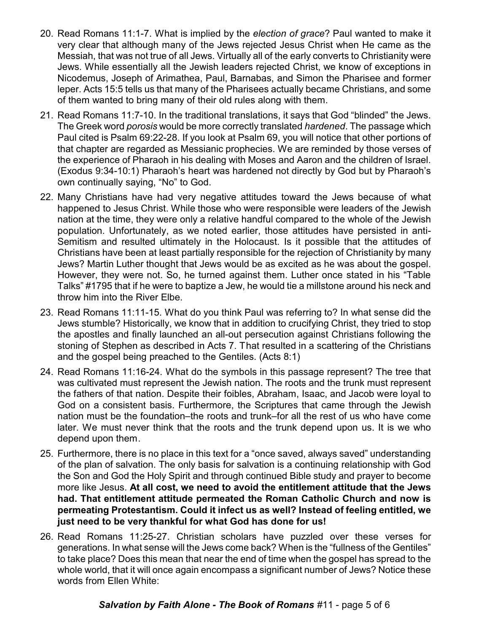- 20. Read Romans 11:1-7. What is implied by the *election of grace*? Paul wanted to make it very clear that although many of the Jews rejected Jesus Christ when He came as the Messiah, that was not true of all Jews. Virtually all of the early converts to Christianity were Jews. While essentially all the Jewish leaders rejected Christ, we know of exceptions in Nicodemus, Joseph of Arimathea, Paul, Barnabas, and Simon the Pharisee and former leper. Acts 15:5 tells us that many of the Pharisees actually became Christians, and some of them wanted to bring many of their old rules along with them.
- 21. Read Romans 11:7-10. In the traditional translations, it says that God "blinded" the Jews. The Greek word *porosis* would be more correctly translated *hardened*. The passage which Paul cited is Psalm 69:22-28. If you look at Psalm 69, you will notice that other portions of that chapter are regarded as Messianic prophecies. We are reminded by those verses of the experience of Pharaoh in his dealing with Moses and Aaron and the children of Israel. (Exodus 9:34-10:1) Pharaoh's heart was hardened not directly by God but by Pharaoh's own continually saying, "No" to God.
- 22. Many Christians have had very negative attitudes toward the Jews because of what happened to Jesus Christ. While those who were responsible were leaders of the Jewish nation at the time, they were only a relative handful compared to the whole of the Jewish population. Unfortunately, as we noted earlier, those attitudes have persisted in anti-Semitism and resulted ultimately in the Holocaust. Is it possible that the attitudes of Christians have been at least partially responsible for the rejection of Christianity by many Jews? Martin Luther thought that Jews would be as excited as he was about the gospel. However, they were not. So, he turned against them. Luther once stated in his "Table Talks" #1795 that if he were to baptize a Jew, he would tie a millstone around his neck and throw him into the River Elbe.
- 23. Read Romans 11:11-15. What do you think Paul was referring to? In what sense did the Jews stumble? Historically, we know that in addition to crucifying Christ, they tried to stop the apostles and finally launched an all-out persecution against Christians following the stoning of Stephen as described in Acts 7. That resulted in a scattering of the Christians and the gospel being preached to the Gentiles. (Acts 8:1)
- 24. Read Romans 11:16-24. What do the symbols in this passage represent? The tree that was cultivated must represent the Jewish nation. The roots and the trunk must represent the fathers of that nation. Despite their foibles, Abraham, Isaac, and Jacob were loyal to God on a consistent basis. Furthermore, the Scriptures that came through the Jewish nation must be the foundation–the roots and trunk–for all the rest of us who have come later. We must never think that the roots and the trunk depend upon us. It is we who depend upon them.
- 25. Furthermore, there is no place in this text for a "once saved, always saved" understanding of the plan of salvation. The only basis for salvation is a continuing relationship with God the Son and God the Holy Spirit and through continued Bible study and prayer to become more like Jesus. **At all cost, we need to avoid the entitlement attitude that the Jews had. That entitlement attitude permeated the Roman Catholic Church and now is permeating Protestantism. Could it infect us as well? Instead of feeling entitled, we just need to be very thankful for what God has done for us!**
- 26. Read Romans 11:25-27. Christian scholars have puzzled over these verses for generations. In what sense will the Jews come back? When is the "fullness of the Gentiles" to take place? Does this mean that near the end of time when the gospel has spread to the whole world, that it will once again encompass a significant number of Jews? Notice these words from Ellen White: